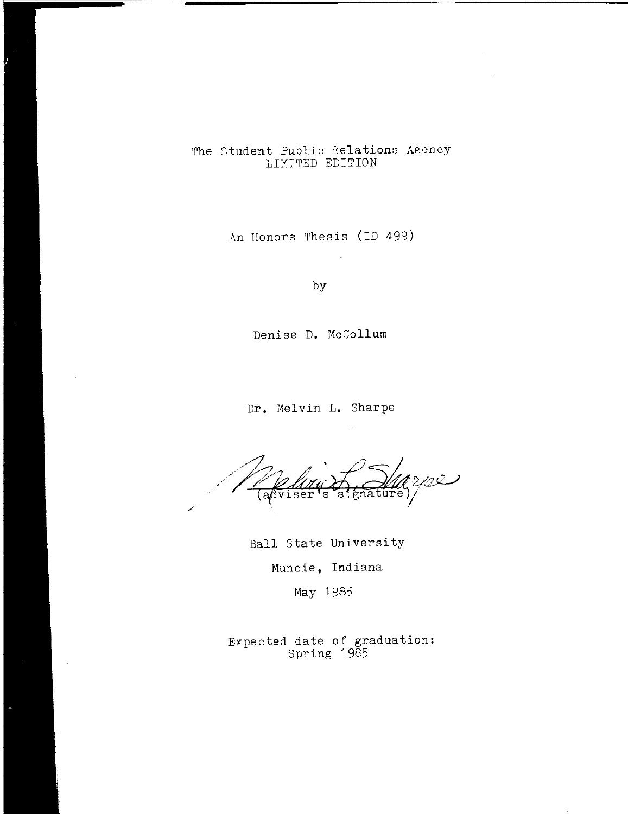# The Student Public Relations Agency LIMITED EDITION

An Honors Thesis (ID 499)

by

Denise **D.** McCollum

**Dr.** Melvin **L.** Sharpe

مسند  $\mathrm{a} \mathrm{d} \mathrm{v}$ iser  $\mathbf S$ ์ธ1 gnature, /

Ball State University Muncie, Indiana

May 1985

Expected date of graduation: Spring 1985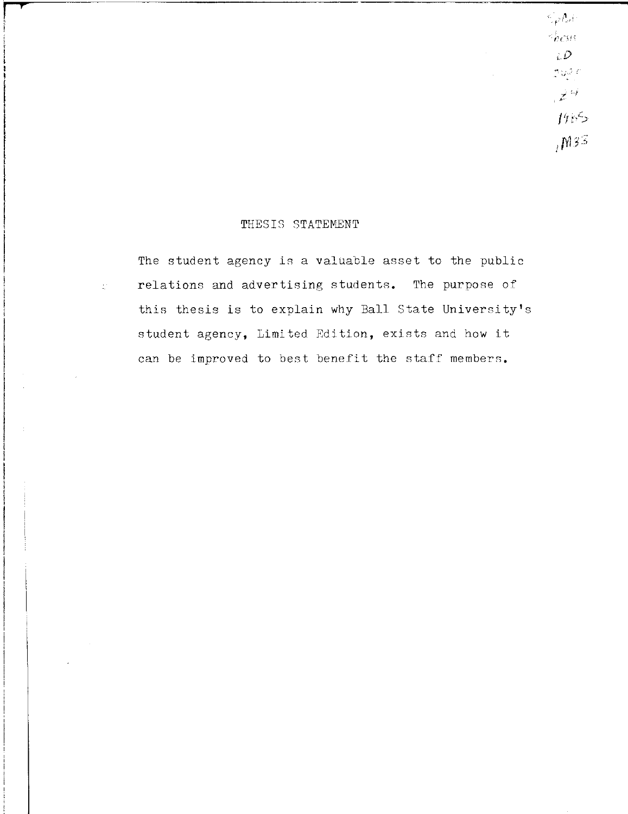THESIS STATEMENT

**.**  $\overline{a}$ 

 $\pm$  :

The student agency is a valuable asset to the public relations and advertising students. The purpose of this thesis is to explain why Ball State University's student agency, Limited Edition, exists and how it can be improved to best benefit the staff members.

 $\mathbb{Z}_p\Lambda_\sigma(\cdot$  $\sim$   $h$  CS13.  $\partial$  $\mathcal{D}(\mathcal{G}) \subseteq$ 

 $\mathbb{Z}^{|\mathcal{G}|}$ 

 $19.55$ 

 $1^{M3}$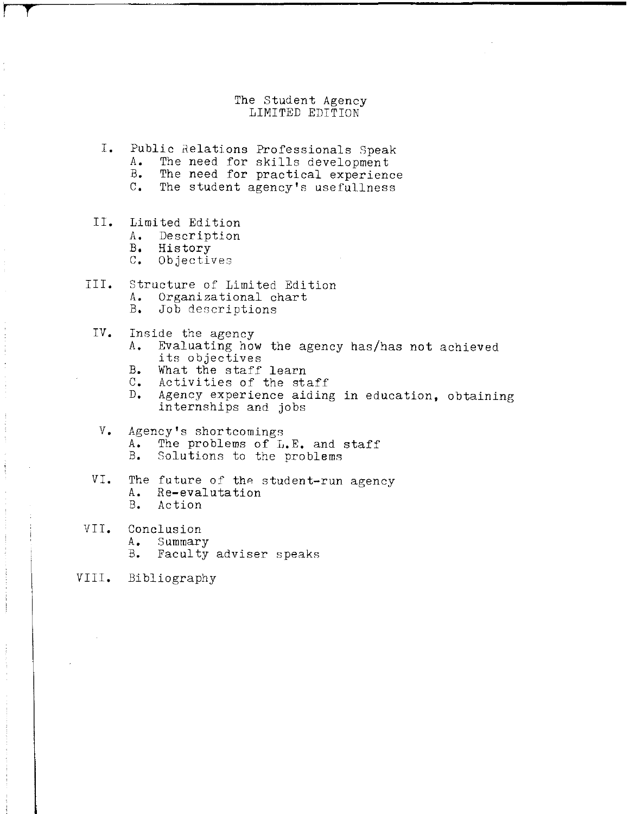### The Student Agency LIMITED EDITION

- **I.** Public Relations Professionals Speak
	- A. The need for skills development<br>B. The need for practical experience
	- B. The need for practical experience<br>C. The student agency's usefullness The student agency's usefullness
- II. Limited Edition<br>A. Description

**r** *T* 

- **A.** Description
- 
- B. History<br>C. Objectiv **C.** Objectives
- III. Structure of Limited Edition<br>A. Organizational chart **A.** Organizational chart **B.** Job descriptions
	- IV. Inside the agency<br>A. Evaluating hov
		- **A.** Evaluating how the agency has/has not achieved its objectives
		- B. What the staff learn<br>C. Activities of the sta
		- **C.** Activities of the staff
		- Agency experience aiding in education, obtaining internships and jobs
	- V. Agency's shortcomings<br>A. The problems of L **A.** The problems of **L.E.** and staff **B.** Solutions to the problems
- VI. The future of the student-run agency<br>A. Re-evalutation **A.** Re-evalutation **B.** Action
- VII. Conclusion<br>A. Summary
	- **A.** Summary
	- **B.** Faculty adviser speaks
- VIII. Bibliography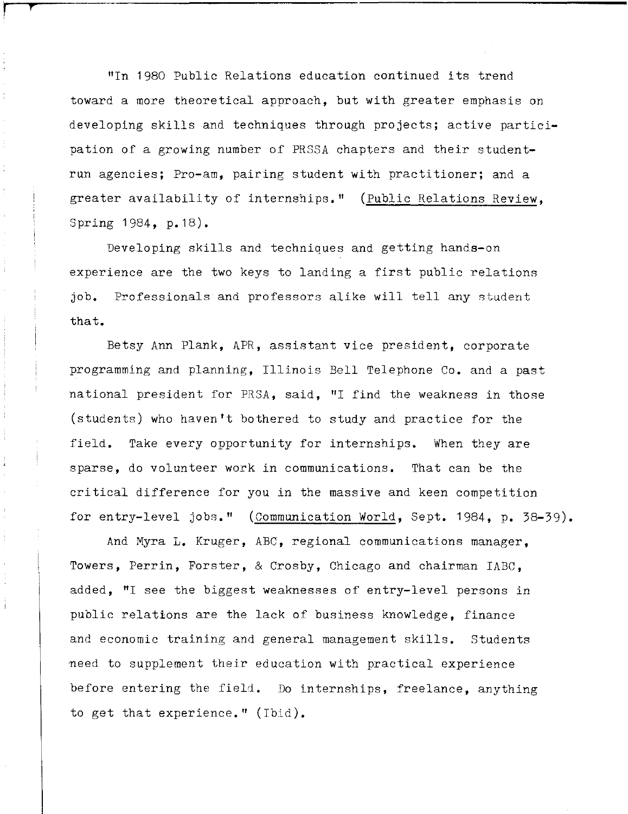"In 1980 Public Relations education continued its trend toward a more theoretical approach, but with greater emphasis on developing skills and techniques through projects; active participation of a growing number of PRSSA chapters and their studentrun agencies; Pro-am, pairing student with practitioner; and a greater availability of internships." (Public Relations Review, Spring 1984, p.18).

**t** 

Developing skills and techniques and getting hands-on experience are the two keys to landing a first public relations job. Professionals and professors alike will tell any student that.

Betsy Ann Plank, APR, assistant vice president, corporate programming and planning, Illinois Bell Telephone Co. and a past national president for PRSA, said, "I find the weakness in those (students) who haven 't bothered to study and practice for the field. Take every opportunity for internships. When they are sparse, do volunteer work in communications. That can be the critical difference for you in the massive and keen competition for entry-level jobs." (Communication World, Sept. 1984, p. 38-39).

And Myra L. Kruger, ABC, regional communications manager, Towers, Perrin, Forster, & Crosby, Chicago and chairman IABC, added, "I see the biggest weaknesses of entry-level persons in public relations are the lack of business knowledge, finance and economic training and general management skills. Students meed to supplement their education with practical experience before entering the field. Do internships, freelance, anything to get that experience." (Ibid).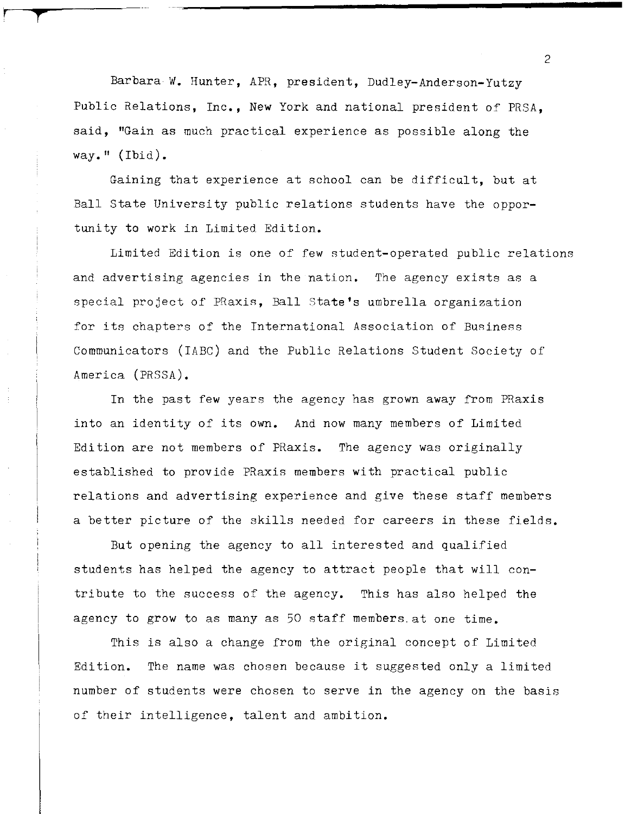Barbara **W.** Hunter, APR, president, Dudley-Anderson-Yutzy Public Relations, Inc., New York and national president of PRSA. said, "Gain as much practical experience as possible along the way."  $(1)$ .

r **t'** 

Gaining that experience at school can be difficult, but at Ball State University public relations students have the opportunity to work in Limited Edition.

Limited Edition is one of few student-operated public relations and advertising agencies in the nation. The agency exists as a special project of PRaxis, Ball state's umbrella organization for its chapters of the International Association of Business Communicators (IABC) and the Public Relations Student Society of America (PRSSA).

In the past few years the agency has grown away from PRaxis into an identity of its own. And now many members of Limited Edition are not members of PRaxis. The agency was originally established to provide PRaxis members with practical public relations and advertising experience and give these staff members a better picture of the skills needed for careers in these fields.

But opening the agency to all interested and qualified students has helped the agency to attract people that will contribute to the success of the agency. This has also helped the agency to grow to as many as 50 staff members. at one time.

This is also a change from the original concept of Limited Edition. The name was chosen because it suggested only a limited number of students were chosen to serve in the agency on the basis of their intelligence, talent and ambition.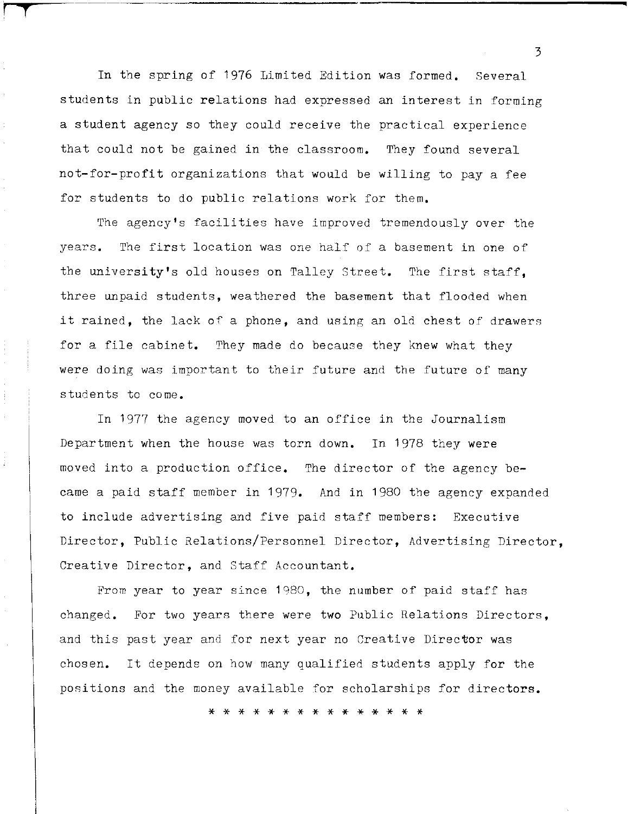In the spring of 1976 Limited Edition was formed. Several students in public relations had expressed an interest in forming a student agency so they could receive the practical experience that could not be gained in the classroom. They found several not-for-profit organizations that would be willing to pay a fee for students to do public relations work for them.

**'"T** 

Î.

The agency's facilities have improved tremendously over the years. The first location was one half of a basement in one of the university's old houses on Talley Street. The first staff, three unpaid students, weathered the basement that flooded when it rained, the lack of a phone, and using an old chest of drawers for a file cabinet. They made do because they knew what they were doing was important to their future and the future of many students to come.

In 1977 the agency moved to an office in the Journalism Department when the house was torn down. In 1978 they were moved into a production office. The director of the agency became a paid staff member in 1979. And in 1980 the agency expanded to include advertising and five paid staff members: Executive Director, Public Relations/Personnel Director, Advertising Director, Creative Director, and Staff Accountant.

From year to year since 1980, the number of paid staff has changed. For two years there were two Public Relations Directors, and this past year and for next year no Creative Director was chosen. It depends on how many qualified students apply for the positions and the money available for scholarships for directors.

\* \* \* \* \* \* \* \* \* \* \* \* \* \* \*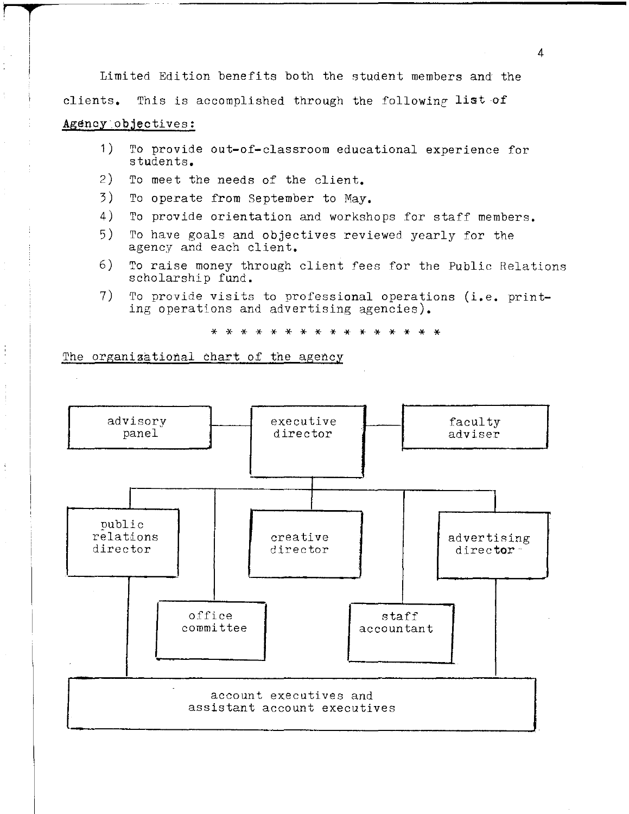Limited Edition benefits both the student members and the clients. This is accomplished through the following list of Agency objectives:

## 1) To provide out-of-classroom educational experience for students.

2) To meet the needs of the client.

**T** 

ţ

- 3) To operate from September to May.
- 4) To provide orientation and workshops for staff members.
- 5) To have goals and objectives reviewed yearly for the agency and each client.
- 6) To raise money through client fees for the Public Relations scholarship fund.
- 7) To provide visits to professional operations (i.e. printing operations and advertising agencies).

\* \* \* \* \* \* \* \* \* \* \* \* \* \* \* \*

The organizational chart of the agency

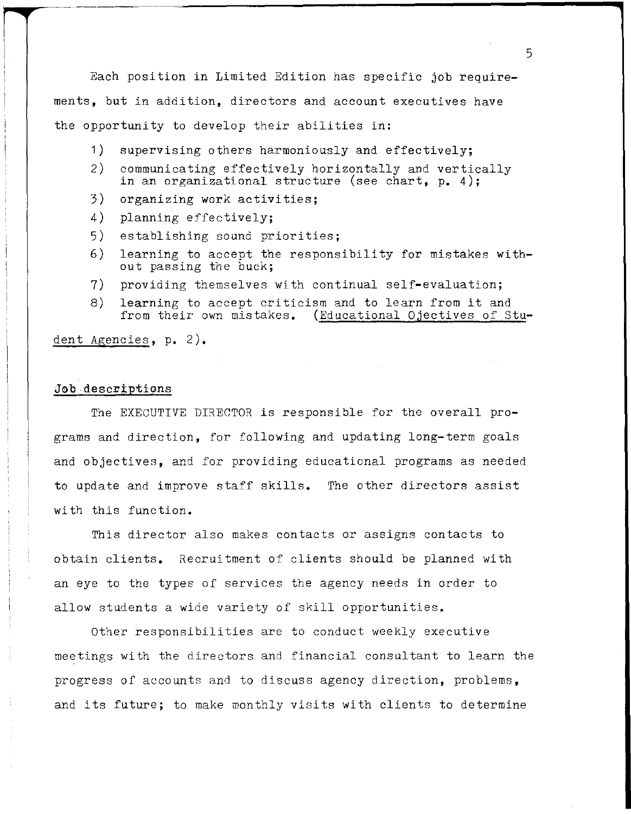Each position in Limited Edition has specific job requirements, but in addition, directors and account executives have the opportunity to develop their abilities in:

- 1) supervising others harmoniously and effectively;
- 2) communicating effectively horizontally and vertically in an organizational structure (see chart, **p.** 4);
- 3) organizing work activities;
- 4) planning effectively;
- 5) establishing sound priorities;
- 6) learning to accept the responsibility for mistakes without passing the buck;
- 7) providing themselves with continual self-evaluation;
- 8) learning to accept criticism and to learn from it and from their own mistakes. (Educational Ojectives of Stu-

dent Agencies, **p.** 2).

## Job descriptions

The EXECUTIVE DIRECTOR is responsible for the overall programs and direction, for following and updating long-term goals and objectives, and for providing educational programs as needed to update and improve staff skills. The other directors assist with this function.

This director also makes contacts or assigns contacts to obtain clients. Recruitment of clients should be planned with an eye to the types of services the agency needs in order to allow students a wide variety of skill opportunities.

Other responsibilities are to conduct weekly executive meetings with the directors and financial consultant to learn the progress of accounts and to discuss agency direction, problems, and its future; to make monthly visits with clients to determine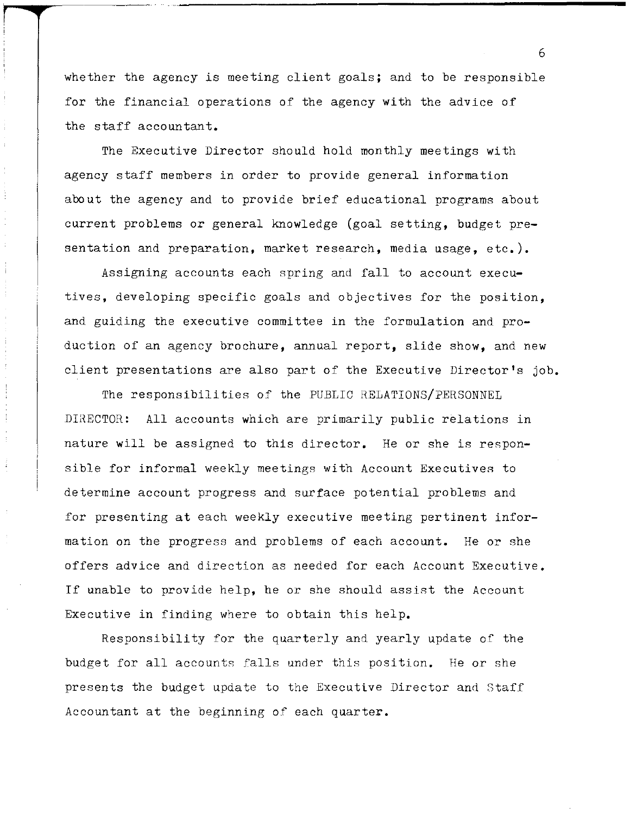whether the agency is meeting client goals; and to be responsible for the financial operations of the agency with the advice of the staff accountant.

The Executive Director should hold monthly meetings with agency staff members in order to provide general information about the agency and to provide brief educational programs about current problems or general knowledge (goal setting, budget presentation and preparation, market research, media usage, etc.).

Assigning accounts each spring and fall to account executives, developing specific goals and objectives for the position, and guiding the executive committee in the formulation and production of an agency brochure, annual report, slide show, and new client presentations are also part of the Executive Director's job.

 $\mathop{!}\! \cdot$ 

ł

The responsibilities of the PUBLIC RELATIONS/PERSONNEL DIRECTOR: All accounts which are primarily public relations in nature will be assigned to this director. He or she is responsible for informal weekly meetings with Account Executives to determine account progress and surface potential problems and for presenting at each weekly executive meeting pertinent information on the progress and problems of each account. He or she offers advice and direction as needed for each Account Executive. If unable to provide help, he or she should assist the Account Executive in finding where to obtain this help.

Responsibility for the quarterly and yearly update of the budget for all accounts falls under this position. He or she presents the budget update to the Executive Director and Staff Accountant at the beginning of each quarter.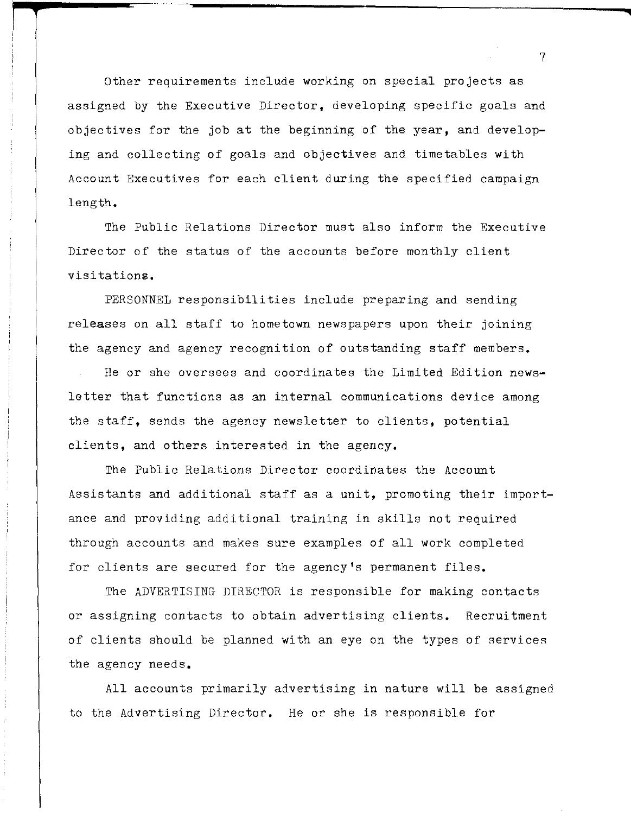other requirements include working on special projects as assigned by the Executive Director, developing specific goals and objectives for the job at the beginning of the year, and developing and collecting of goals and objectives and timetables with Account Executives for each client during the specified campaign length.

The Public Relations Director must also inform the Executive Director of the status of the accounts before monthly client visitations.

PERSONNEL responsibilities include preparing and sending releases on all staff to hometown newspapers upon their joining the agency and agency recognition of outstanding staff members.

He or she oversees and coordinates the Limited Edition newsletter that functions as an internal communications device among the staff, sends the agency newsletter to clients, potential clients, and others interested in the agency.

The Public Relations Director coordinates the Account Assistants and additional staff as a unit, promoting their importance and providing additional training in skills not required through accounts and makes sure examples of all work completed for clients are secured for the agency's permanent files.

The ADVERTISING DIRECTOR is responsible for making contacts or assigning contacts to obtain advertising clients. Recruitment of clients should be planned with an eye on the types of services the agency needs.

All accounts primarily advertising in nature will be assigned to the Advertising Director. He or she is responsible for

7

**..**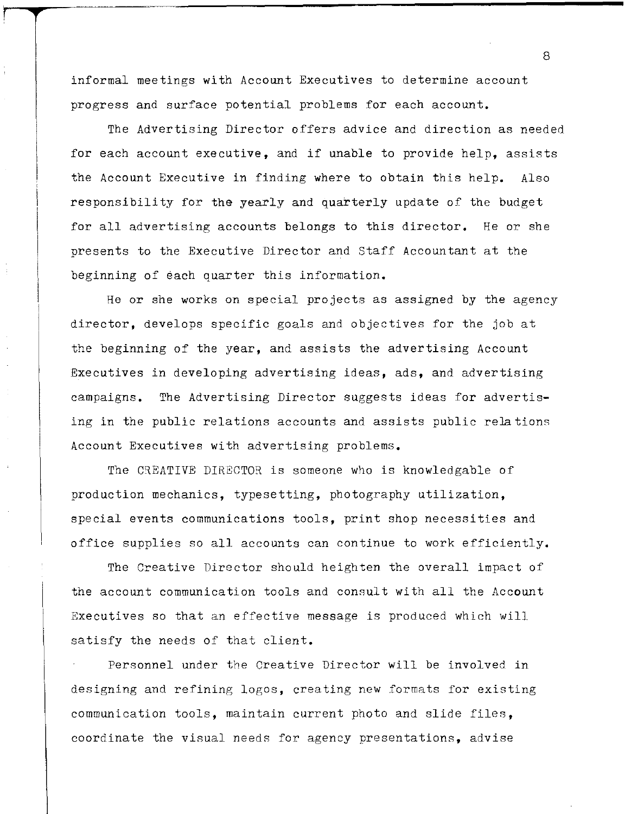informal meetings with Account Executives to determine account progress and surface potential problems for each account.

The Advertising Director offers advice and direction as needed for each account executive, and if unable to provide help, assists the Account Executive in finding where to obtain this help. Also responsibility for the yearly and quarterly update of the budget for all advertising accounts belongs to this director. He or she presents to the Executive Director and Staff Accountant at the beginning of each quarter this information.

He or she works on special projects as assigned by the agency director, develops specific goals and objectives for the job at the beginning of the year, and assists the advertising Account Executives in developing advertising ideas, ads, and advertising campaigns. The Advertising Director suggests ideas for advertising in the public relations accounts and assists public relations Account Executives with advertising problems.

The CREATIVE DIRECTOR is someone who is knowledgable of production mechanics, typesetting, photography utilization, special events communications tools, print shop necessities and office supplies so all accounts can continue to work efficiently.

The Creative Director should heighten the overall impact of the account communication tools and consult with all the Account Executives so that an effective message is produced which will satisfy the needs of that client.

Personnel under the Creative Director will be involved in designing and refining logos, creating new formats for existing communication tools, maintain current photo and slide files, coordinate the visual needs for agency presentations, advise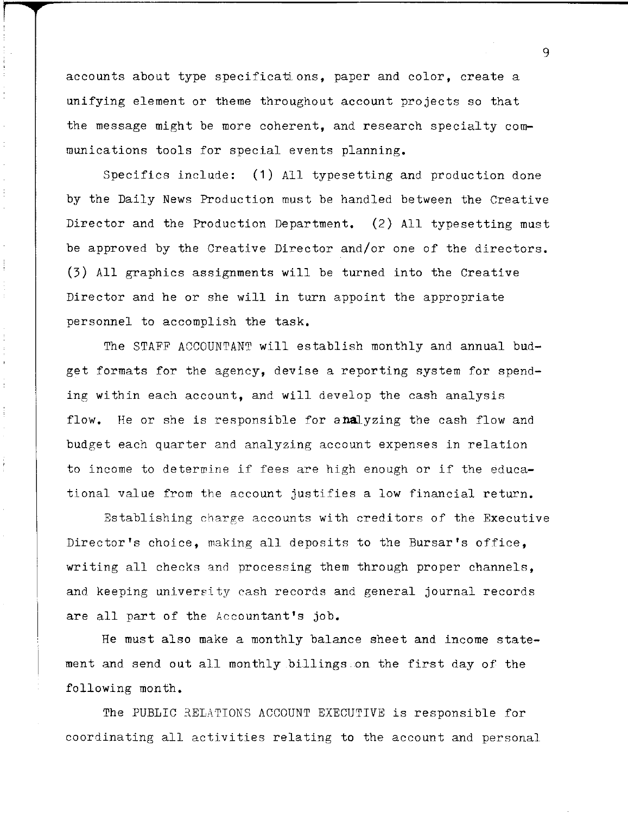accounts about type specificati ons, paper and color, create a unifying element or theme throughout account projects so that the message might be more coherent, and research specialty communications tools for special events planning.

 $\pm$ 

 $\bar{t}$ 

 $\frac{1}{3}$ 

ŧ

 $\ddot{\cdot}$ 

Specifics include: (1) All typesetting and production done by the Daily News Production must be handled between the Creative Director and the Production Department. (2) All typesetting must be approved by the Creative Director and/or one of the directors. (3) All graphics assignments will be turned into the Creative Director and he or she will in turn appoint the appropriate personnel to accomplish the task.

The STAFF ACCOUNTANT will establish monthly and annual budget formats for the agency, devise a reporting system for spending within each account, and will develop the cash analysis flow. He or she is responsible for analyzing the cash flow and budget each quarter and analyzing account expenses in relation to income to determine if fees are high enough or if the educational value from the account justifies a low financial return.

Establishing charge accounts with creditors of the Executive Director's choice, making all deposits to the Bursar's office, writing all checks and processing them through proper channels, and keeping university cash records and general journal records are all part of the Accountant's job.

Re must also make a monthly balance sheet and income statement and send out all monthly billings.on the first day of the following month.

The PUBLIC RELATIONS ACCOUNT EXECUTIVE is responsible for coordinating all activities relating to the account and personal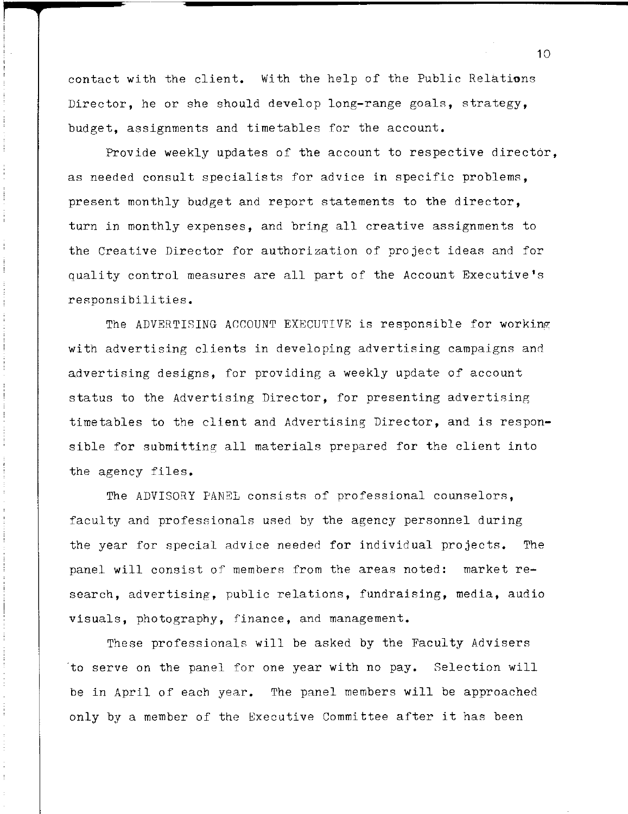contact with the client. With the help of the Public Relations Director, he or she should develop long-range goals, strategy, budget, assignments and timetables for the account.

Provide weekly updates of the account to respective director, as needed consult specialists for advice in specific problems, present monthly budget and report statements to the director, turn in monthly expenses, and bring all creative assignments to the Creative Director for authorization of project ideas and for quality control measures are all part of the Account Executive's responsibilities.

The ADVERTISING ACCOUNT EXECUTIVE is responsible for working with advertising clients in developing advertising campaigns and advertising designs, for providing a weekly update of account status to the Advertising Director, for presenting advertising timetables to the client and Advertising Director, and is responsible for submitting all materials prepared for the client into the agency files.

The ADVISORY PANEL consists of professional counselors, faculty and professionals used by the agency personnel during the year for special advice needed for individual projects. The panel will consist of members from the areas noted: market **re**search, advertising, public relations, fundraising, media, audio visuals, photography, finance, and management.

These professionals will be asked by the Faculty Advisers to serve on the panel for one year with no pay. Selection will be in April of each year. The panel members will be approached only by a member of the Executive Committee after it has been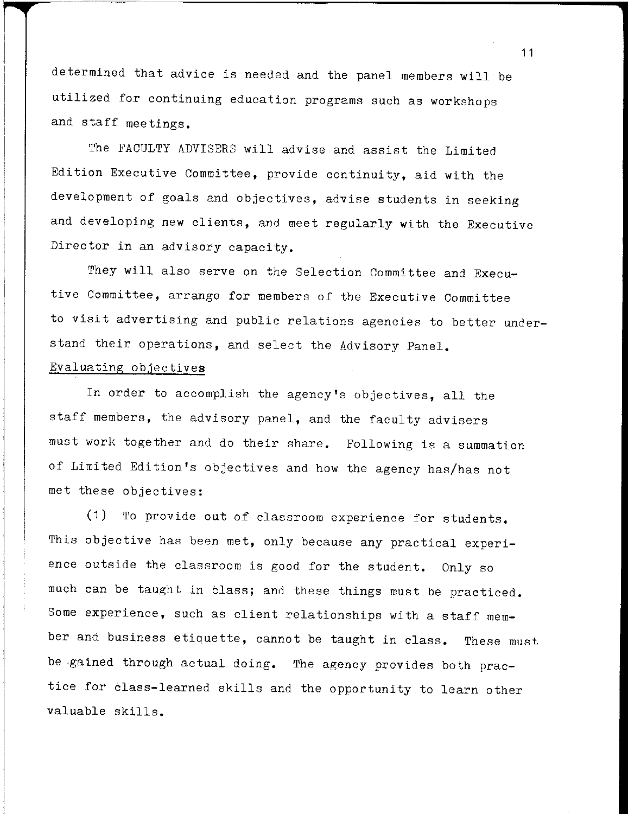determined that advice is needed and the panel members will be utilized for continuing education programs such as workshops and staff meetings.

The FACULTY ADVISERS will advise and assist the Limited Edition Executive Committee, provide continuity, aid with the development of goals and objectives, advise students in seeking and developing new clients, and meet regularly with the Executive Director in an advisory capacity.

They will also serve on the Selection Committee and Executive Committee, arrange for members of the Executive Committee to visit advertising and public relations agencies to better understand their operations, and select the Advisory Panel. Evaluating objectives

In order to accomplish the agency's objectives, all the staff members, the advisory panel, and the faculty advisers must work together and do their share. Following is a summation of Limited Edition's objectives and how the agency has/has not met these objectives:

(1) To provide out of classroom experience for students. This objective has been met, only because any practical experience outside the classroom is good for the student. Only so much can be taught in class; and these things must be practiced. Some experience, such as client relationships with a staff member and business etiquette, cannot be taught in class. These must be gained through actual doing. The agency provides both practice for class-learned skills and the opportunity to learn other valuable skills.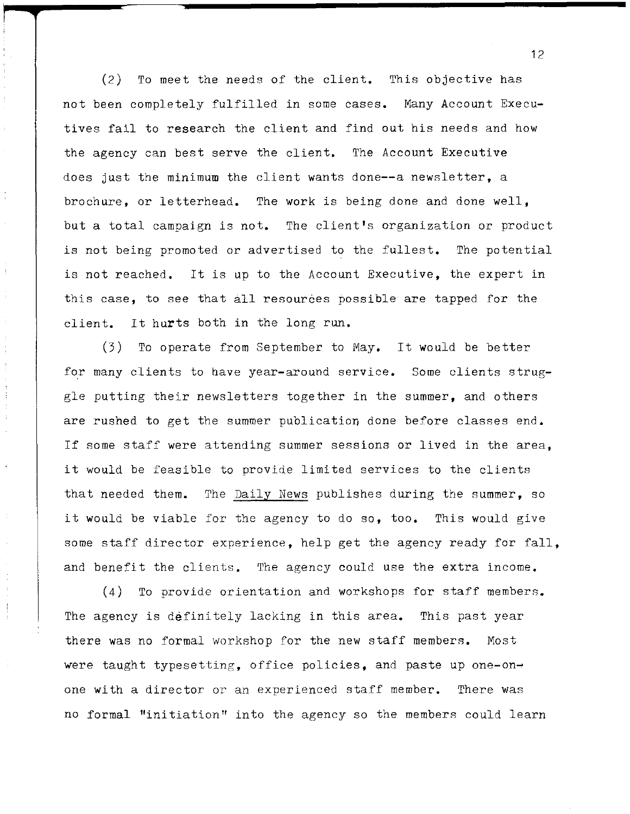(2) To meet the needs of the client. This objective has not been completely fulfilled in some cases. Many Account Executives fail to research the client and find out his needs and how the agency can best serve the client. The Account Executive does just the minimum the client wants done--a newsletter, a brochure, or letterhead. The work is being done and done well, but a total campaign is not. The client's organization or product is not being promoted or advertised to the fullest. The potential is not reached. It is up to the Account Executive, the expert in this case, to see that all resources possible are tapped for the client. It hurts both in the long run.

 $\mathfrak i$ 

Ť,  $\frac{1}{2}$ 

 $\begin{array}{c} 1 \\ 1 \\ 1 \end{array}$ 

 $\epsilon$ 

 $\frac{1}{2}$ 

(3) To operate from September to May. It would be better for many clients to have year-around service. Some clients struggle putting their newsletters together in the summer, and others are rushed to get the summer publication done before classes end. If some staff were attending summer sessions or lived in the area, it would be feasible to provide limited services to the clients that needed them. The Daily News publishes during the summer, so it would be viable for the agency to do so, too. This would give some staff director experience, help get the agency ready for fall, and benefit the clients. The agency could use the extra income.

(4) To provide orientation and workshops for staff members. The agency is definitely lacking in this area. This past year there was no formal workshop for the new staff members. Most were taught typesetting, office policies, and paste up one-onone with a director or an experienced staff member. There was no formal "initiation" into the agency so the members could learn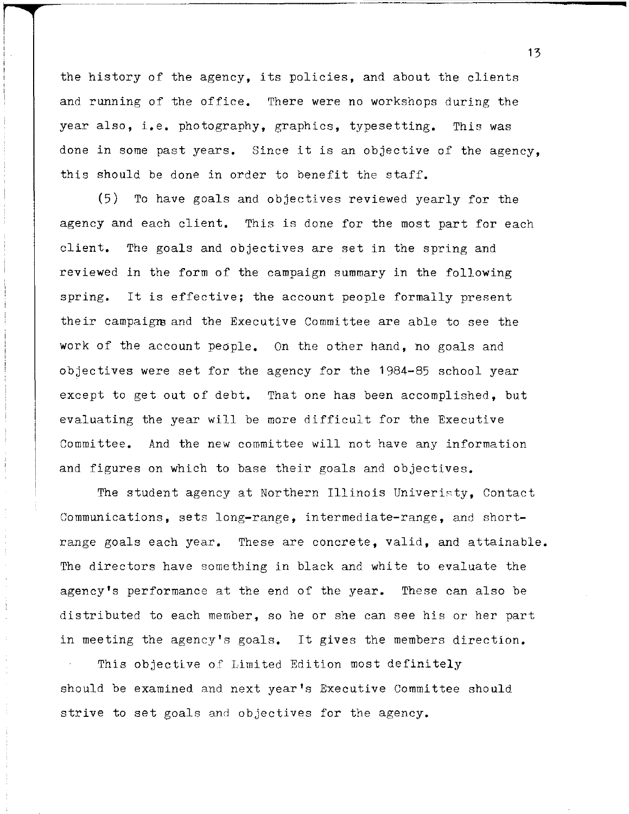the history of the agency, its policies, and about the clients and running of the office. There were no workshops during the year also, **i.e.** photography, graphics, typesetting. This was done in some past years. Since it is an objective of the agency, this should be done in order to benefit the staff.

(5) To have goals and objectives reviewed yearly for the agency and each client. This is done for the most part for each client. The goals and objectives are set in the spring and reviewed in the form of the campaign summary in the following spring. It is effective; the account people formally present their campaigm and the Executive Committee are able to see the work of the account people. On the other hand, no goals and objectives were set for the agency for the 1984-85 school year except to get out of debt. That one has been accomplished, but evaluating the year will be more difficult for the Executive Committee. And the new committee will not have any information and figures on which to base their goals and objectives.

The student agency at Northern Illinois Univeristy, Contact Communications, sets long-range, intermediate-range, and shortrange goals each year. These are concrete, valid, and attainable. The directors have something in black and white to evaluate the agency's performance at the end of the year. These can also be distributed to each member, so he or she can see his or her part in meeting the agency's goals. It gives the members direction.

This objective of Limited Edition most definitely should be examined and next year's Executive Committee should strive to set goals and objectives for the agency.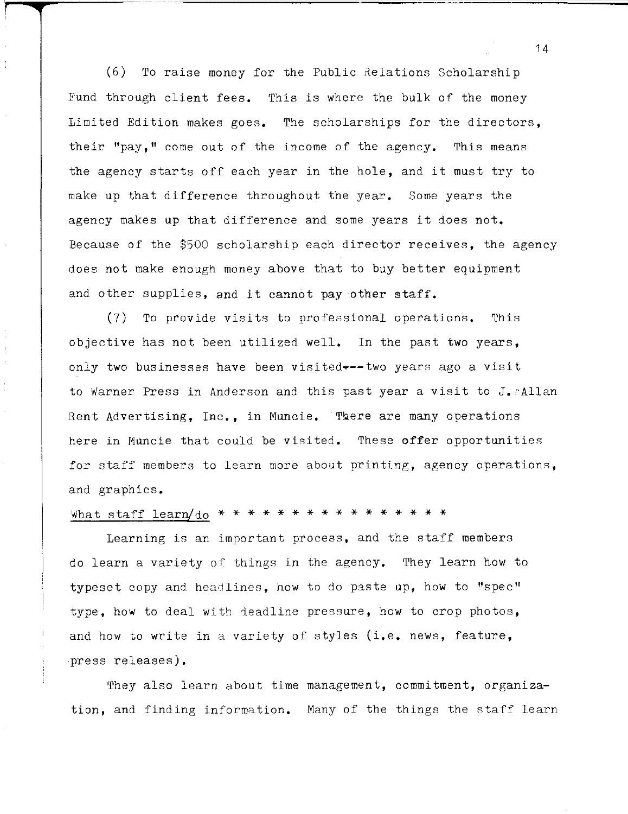$(6)$  To raise money for the Public Relations Scholarship Fund through client fees. This is where the bulk of the money Limited Edition makes goes. The scholarships for the directors, their "pay," come out of the income of the agency. This means the agency starts off each year in the hole, and it must try to make up that difference throughout the year. Some years the agency makes up that difference and some years it does not. Because of the \$500 scholarship each director receives, the agency does not make enough money above that to buy better equipment and other supplies, and it cannot pay other staff.

(7) To provide visits to professional operations. This objective has not been utilized well. In the past two years, only two businesses have been visited~--two years ago a visit to Warner Press in Anderson and this past year a visit to J. Allan Rent Advertising, Inc., in Muncie. Tbere are many operations here in Muncie that could be visited. These offer opportunities for staff members to learn more about printing, agency operations, and graphics.

#### What staff learn/do \* \* \* \* \* \* \* \* \* \* \* \* \* \* \* \*

Learning is an important process, and the staff members do learn a variety of things in the agency. They learn how to typeset copy and headlines, how to do paste up, how to "spec" type, how to deal with deadline pressure, how to crop photos, and how to write in a variety of styles (i.e. news, feature, ,press releases).

They also learn about time management, commitment, organization, and finding information. Many of the things the staff learn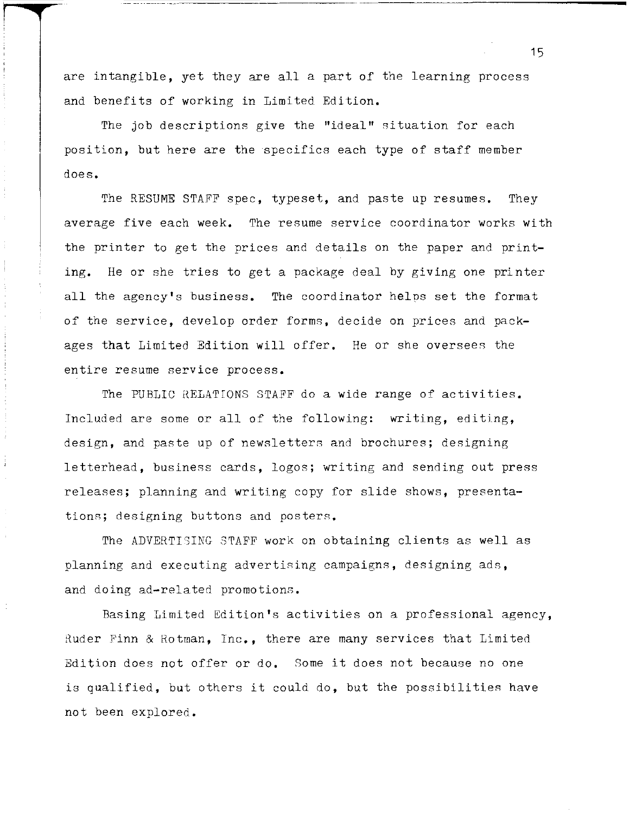are intangible, yet they are all a part of the learning process and benefits of working in Limited Edition.

The job descriptions give the "ideal" situation for each position, but here are the specifics each type of staff member does.

The RESUME STAFF spec, typeset, and paste up resumes. They average five each week. The resume service coordinator works with the printer to get the prices and details on the paper and printing. He or she tries to get a package deal by giving one printer all the agency's business. The coordinator helos set the format of the service, develop order forms, decide on prices and packages that Limited Edition will offer. He or she oversees the entire resume service process.

The PUBLIC RELATIONS STAFF do a wide range of activities. Included are some or all of the following: writing, editing, design, and paste up of newsletters and brochures; designing letterhead, business cards, logos; writing and sending out press releases; planning and writing copy for slide shows, presentations; designing buttons and posters.

The ADVERTISING STAFF work on obtaining clients as well as planning and executing advertising campaigns, designing ads, and doing ad-related promotions.

Basing Limited Edition's activities on a professional agency, Ruder Finn & Eotman, Inc., there are many services that Limited Edition does not offer or do. Some it does not because no one is qualified, but others it could do, but the possibilities have not been explored.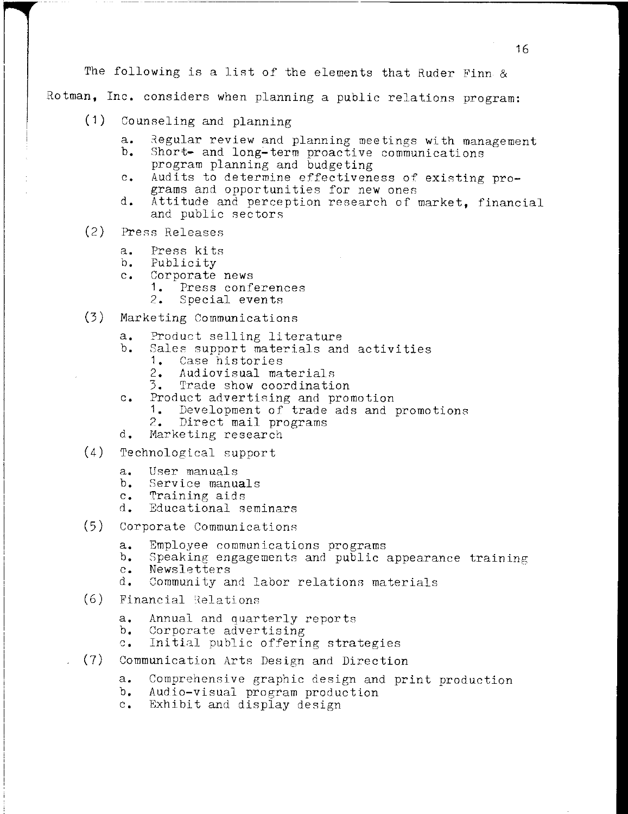The following is a list of the elements that Ruder Finn & Rotman, Inc. considers when planning a public relations program:

- (1) Counseling and planning
	- a. Regular review and planning meetings with management<br>b. Short- and long-term proactive communications
	- Short- and long-term proactive communications program planning and budgeting
	- c. Audits to determine effectiveness of existing programs and opportunities for new ones
	- **d.** Attitude and perception research of market, financial and public sectors
- (2) Press Releases
	- a. Press kits<br>b. Publicity
	- **b.** Publicity
	- **Corporate news**<br>**1.** Press confe
		- **1.** Press conferences
		- **2.** Special events
- (3) Marketing Communications
	- **a.** Product selling literature
	- Sales support materials and activities
		-
		- **1.** Case histories
		- **2.** Audiovisual materials **3.** Trade show coordination
	- c. Product advertising and promotion
		- **1.** Development of trade ads and promotions
		- **2.** Direct mail programs
	- **d.** Marketing research
- (4) Technological support
	- **a.** User manuals
	- **b.** Service manuals
	- **c.** Training aids<br>d. Educational s
	- **d.** Educational seminars
- (5) Corporate Communications
	- **a.** Employee communications programs
	- **b.** Speaking engagements and public appearance training
	- **c.** Newsletters
	- **d.** Community and labor relations materials
- $(6)$  Financial Relations
	- **a.** Annual and quarterly reports
	- **b.** Corporate advertising
	- **c.** Initial public offering strategies
- (7) Communication Arts Design and Direction
	- **a.** Comprehensive graphic design and print production
	- **b.** Audio-visual program production
	- **c.** Exhibit and display design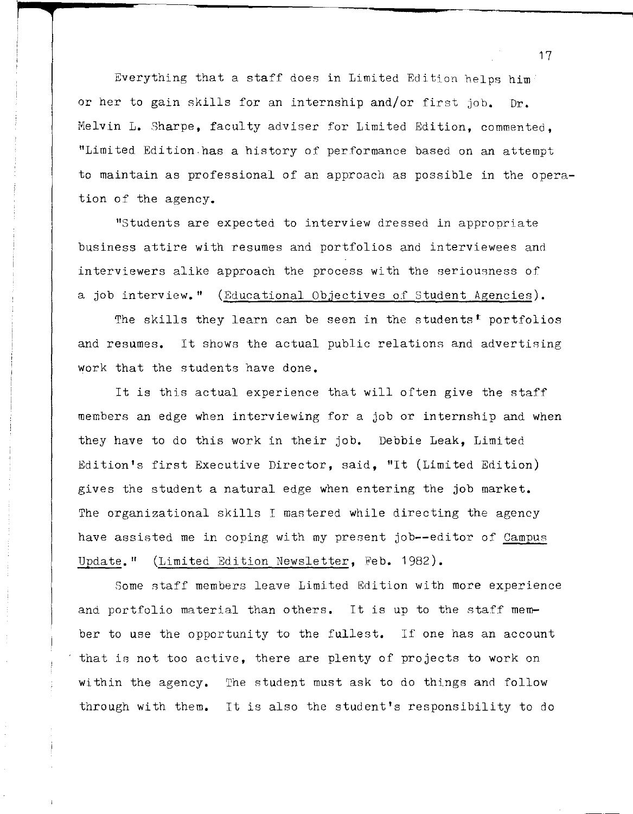Everything that a staff does in Limited Edition helps him or her to gain skills for an internship and/or first job. Dr. Melvin L. Sharpe, faculty adviser for Limited Edition, commented, "Limited Edition.has a history of performance based on an attempt to maintain as professional of an approach as possible in the operation of the agency.

"Students are expected to interview dressed in appropriate business attire with resumes and portfolios and interviewees and interviewers alike approach the process with the seriousness of a job interview." (Educational Objectives of Student Agencies).

The skills they learn can be seen in the students<sup>t</sup> portfolios and resumes. It shows the actual public relations and advertising work that the students have done.

It is this actual experience that will often give the staff members an edge when interviewing for a job or internship and when they have to do this work in their job. Debbie Leak, Limited Edition's first Executive Director, said, "It (Limited Edition) gives the student a natural edge when entering the job market. The organizational skills I mastered while directing the agency have assisted me in coping with my present job--editor of Campus Update." (Limited Edition Newsletter, Feb. 1982).

Some staff members leave Limited Edition with more experience and portfolio material than others. It is up to the staff member to use the opportunity to the fullest. If one has an account that is not too active, there are plenty of projects to work on within the agency. The student must ask to do things and follow through with them. It is also the student's responsibility to do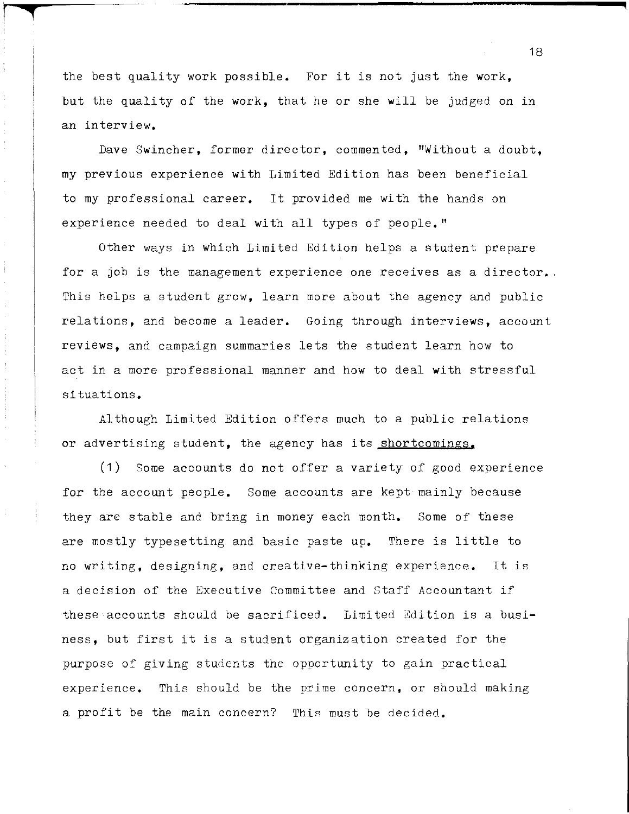the best quality work possible. For it is not just the work, but the quality of the work, that he or she will be judged on in an interview.

**r** .

Dave Swincher, former director, commented, "Without a doubt, my previous experience with Limited Edition has been beneficial to my professional career. It provided me with the hands on experience needed to deal with all types of people."

Other ways in which Limited Edition helps a student prepare for a job is the management experience one receives as a director. This helps a student grow, learn more about the agency and public relations, and become a leader. Going through interviews, account reviews, and campaign summaries lets the student learn how to act in a more professional manner and how to deal with stressful situations.

Although Limited Edition offers much to a public relations or advertising student, the agency has its shortcomings.

(1) Some accounts do not offer a variety of good experience for the account people. Some accounts are kept mainly because they are stable and bring in money each month. Some of these are mostly typesetting and basic paste **up.** There is little to no writing, designing, and creative-thinking experience. It is a decision of the Executive Committee and Staff Accountant if these accounts should be sacrificed. Limited Edition is a business, but first it is a student organization created for the purpose of giving students the opportunity to gain practical experience. This should be the prime concern, or should making a profit be the main concern? This must be decided.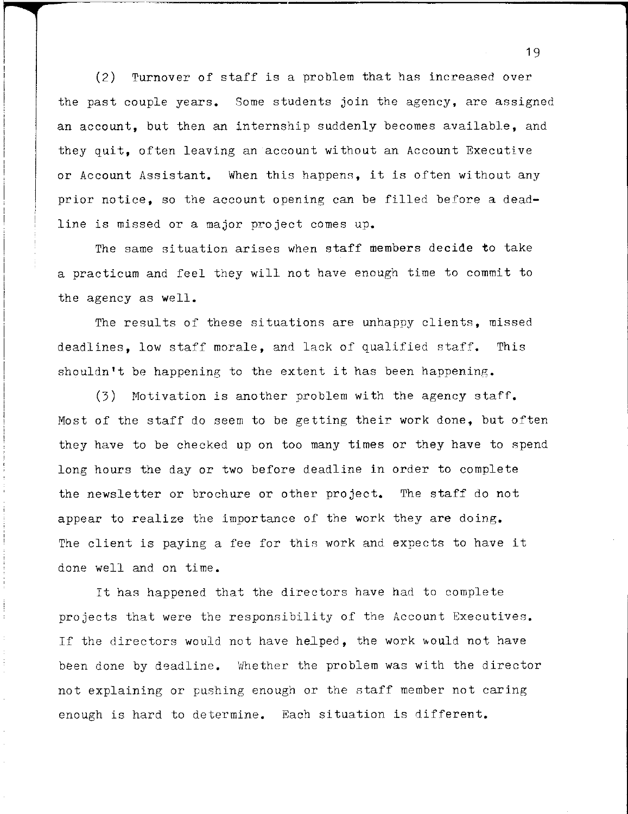(2) Turnover of staff is a problem that has increased over the past couple years. Some students join the agency, are assigned an account, but then an internship suddenly becomes available, and they **quit,** often leaving an account wi thout an Account Executive or Account Assistant. When this happens, it is often without any prior notice, so the account opening can be filled before a deadline is missed or a major project comes up.

The same situation arises when staff members decide to take a practicum and feel they will not have enough time to commit to the agency as well.

The results of these situations are unhappy clients, missed deadlines, low staff morale, and lack of qualified staff. This shouldn't be happening to the extent it has been happening.

(3) Motivation is another problem with the agency staff. Most of the staff do seem to be getting their work done, but often they have to be checked up on too many times or they have to spend long hours the day or two before deadline in order to complete the newsletter or brochure or other project. The staff do not appear to realize the importance of the work they are doing. The client is paying a fee for this work and expects to have it done well and on time.

It has happened that the directors have had to complete projects that were the responsibility of the Account Executives. If the directors would not have helped, the work would not have been done by deadline. Whether the problem was with the director not explaining or pushing enough or the staff member not caring enough is hard to determine. Each situation is different.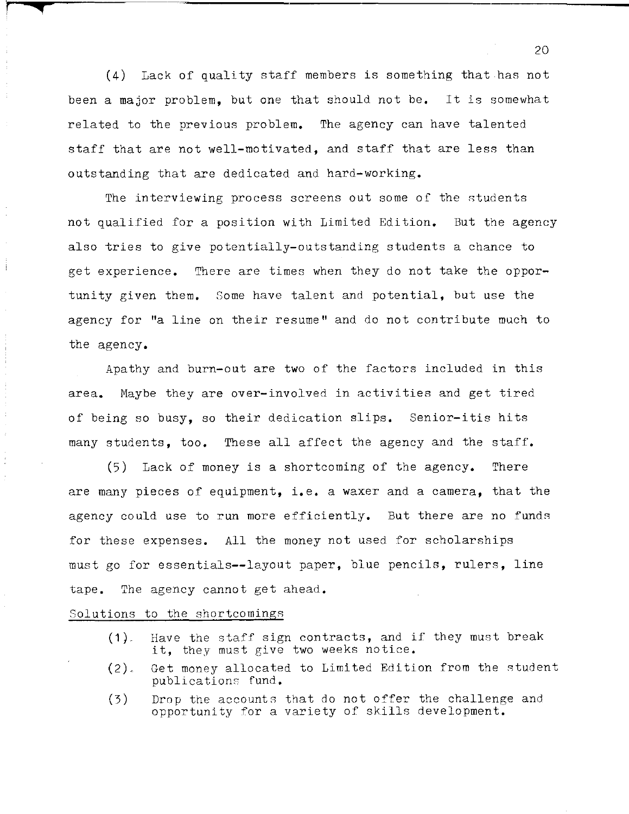(4) Lack of quality staff members is something that has not been a major problem, but one that should not be. It is somewhat related to the previous problem. The agency can have talented staff that are not well-motivated, and staff that are less than outstanding that are dedicated and hard-working.

The interviewing process screens out some of the students not qualified for a position with Limited Edition. But the agency also tries to give potentially-outstanding students a chance to get experience. There are times when they do not take the opportunity given them. Some have talent and potential, but use the agency for "a line on their resume" and do not contribute much to the agency.

Apathy and burn-out are two of the factors included in this area. Maybe they are over-involved in activities and get tired of being so busy, so their dedication slips. Senior-itis hits many students, too. These all affect the agency and the staff.

(5) Lack of money is a shortcoming of the agency. There are many pieces of equipment, **i.e.** a waxer and a camera, that the agency could use to run more efficiently. But there are no funds for these expenses. All the money not used for scholarships must go for essentials--layout paper, blue pencils, rulers, line tape. The agency cannot get ahead.

### Solutions to the shortcomings

*r* **"""** 

- $(1)$ . Have the staff sign contracts, and if they must break **it,** they must give two weeks notice.
- (2). Get money allocated to Limited Edition from the student publications fund.
- (3) Drop the accounts that do not offer the challenge and opportunity for a variety of skills development.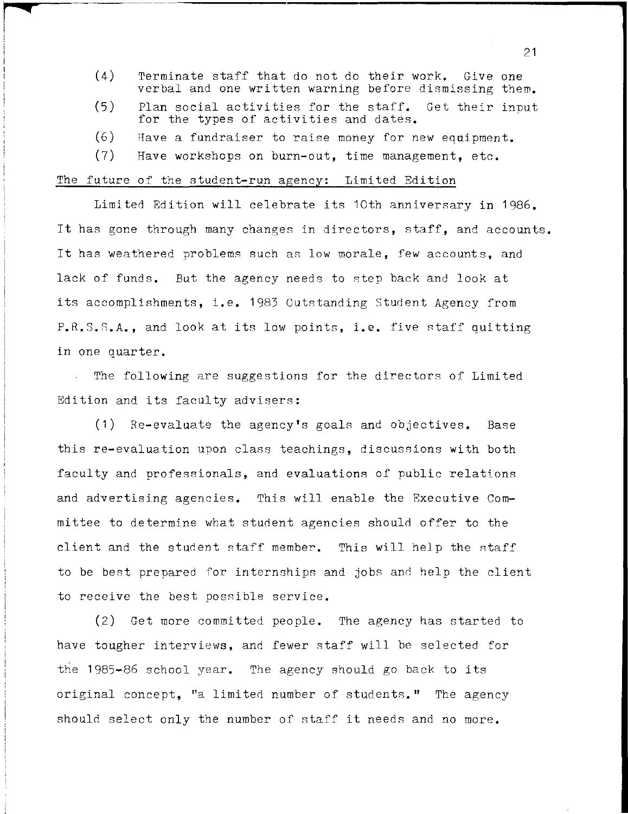- (4) Terminate staff that do not do their work. Give one verbal and one written warning before dismissing them.
- (5) Plan social activities for the staff. Get their input for the types of activities and dates.
- $(6)$  Have a fundraiser to raise money for new equipment.
- (7) Have workshops on burn-out, time management, etc.

#### The future of the student-run agency: Limited Edition

**cq** 

Limited Edition will celebrate its 10th anniversary in 1986. It has gone through many changes in directors, staff, and accounts. It has weathered problems such as low morale, few accounts, and lack of funds. But the agency needs to step back and look at its accomplishments, **i.e.** 1983 outstanding Student Agency from P.R.S.S.A., and look at its low points, i.e. five staff quitting in one quarter.

The following are suggestions for the directors of Limited Edition and its faculty advisers:

(1) Re-evaluate the agency's goals and objectives. Base this re-evaluation upon class teachings, discussions with both faculty and professionals, and evaluations of public relations and advertising agencies. This will enable the Executive Commi ttee to determine what student agencies should offer to the client and the student staff member. This will help the staff to be best prepared for internships and jobs and help the client to receive the best possible service.

(2) Get more committed people. The agency has started to have tougher interviews, and fewer staff will be selected for the 1985-86 school year. The agency should go back to its original concept, "a limited number of students." The agency should select only the number of staff it needs and no more.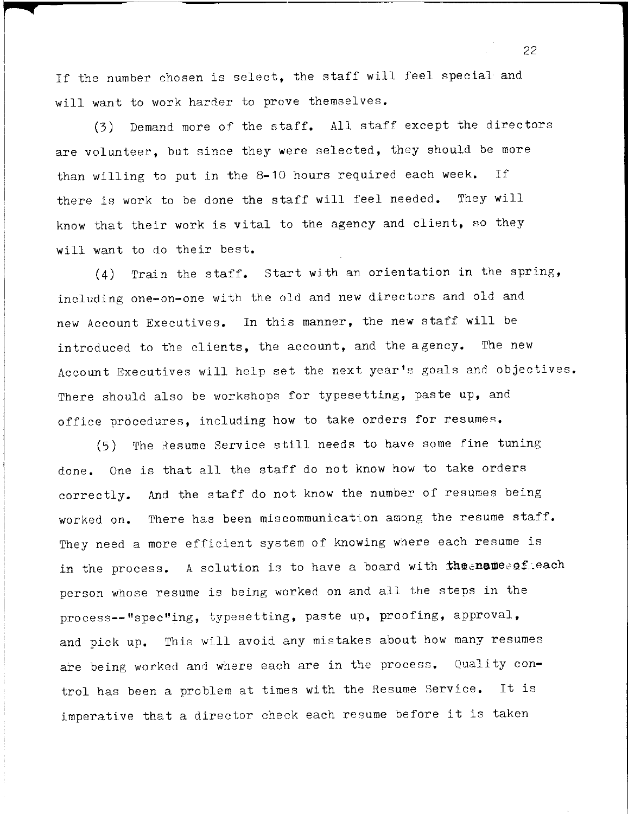If the number chosen is select, the staff will feel special and will want to work harder to prove themselves.

(3) Demand more of the staff. All staff except the directors are volunteer, but since they were selected, they should be more than willing to put in the 8-10 hours required each week. If there is work to be done the staff will feel needed. They will know that their work is vital to the agency and client, so they will want to do their best.

(4) Train the staff. Start with an orientation in the spring, including one-on-one with the old and new directors and old and new Account Executives. In this manner, the new staff will be introduced to the clients, the account, and the agency. The new Account Executives will help set the next **year's** goals and objectives. There should also be workshops for typesetting, paste up, and office procedures, including how to take orders for resumes.

(5) The Resume Service still needs to have some fine tuning done. One is that all the staff do not know how to take orders correctly. And the staff do not know the number of resumes being worked on. There has been miscommunication among the resume staff. They need a more efficient system of knowing where each resume is in the process. A solution is to have a board with the ename effect person whose resume is being worked on and all the steps in the process--"spec"ing, typesetting, paste up, proofing, approval, and pick up. This will avoid any mistakes about how many resumes are being worked and where each are in the process. Quality control has been a problem at times with the Resume Service. It is imperative that a director check each resume before it is taken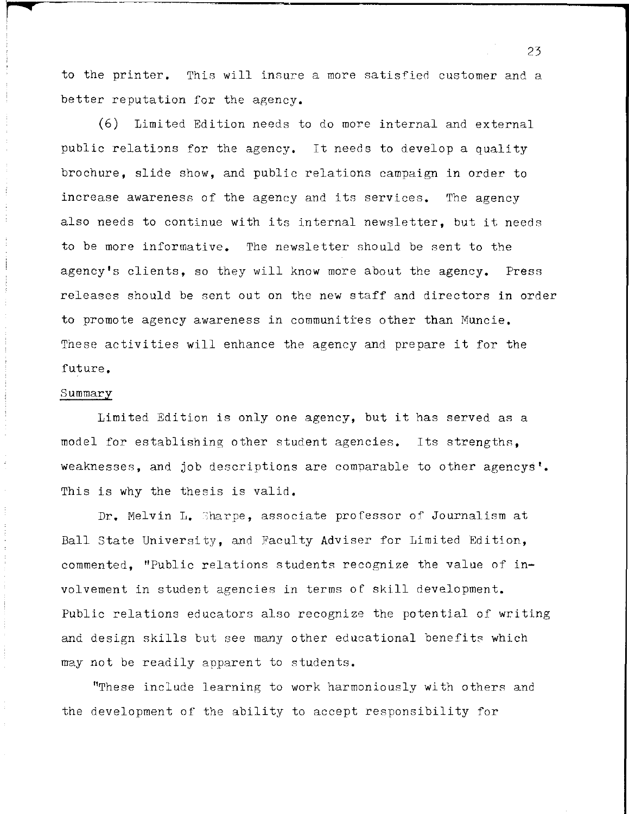to the printer. This will insure a more satisfied customer and a better reputation for the agency.

(6) Limited Edition needs to do more internal and external public relations for the agency. It needs to develop a quality brochure, slide show, and public relations campaign in order to increase awareness of the agency and its services. The agency also needs to continue with its internal newsletter, but it needs to be more informative. The newsletter should be sent to the agency's clients, so they will know more about the agency. Press releases should be sent out on the new staff and directors in order to promote agency awareness in communities other than Muncie. These activities will enhance the agency and prepare it for the future.

#### Summary

**q** 

Limited Edition is only one agency, but it has served as a model for establishing other student agencies. Its strengths, weaknesses, and job descriptions are comparable to other agencys'. This is why the thesis is valid.

Dr. Melvin L. Sharpe, associate professor of Journalism at Ball State University, and Faculty Adviser for Limited Edition, commented, "Public relations students recognize the value of involvement in student agencies in terms of skill development. Public relations educators also recognize the potential of writing and design skills but see many other educational benefits which may not be readily apparent to students.

"These include learning to work harmoniously wi th others and the development of the ability to accept responsibility for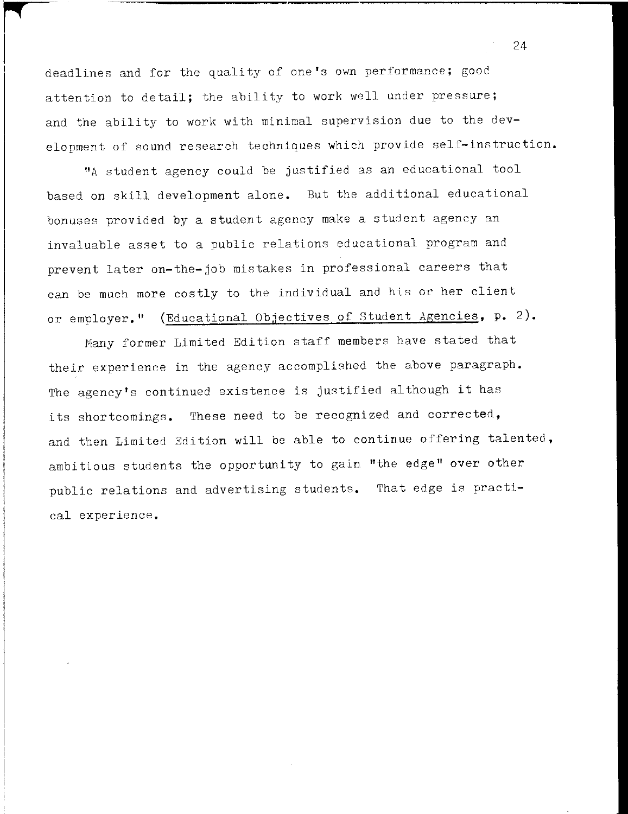r <sup>24</sup> <sup>I</sup>deadlines and for the quality of one's own performance; good attention to detail; the ability to work well under pressure; and the ability to work with minimal supervision due to the development of sound research techniques which provide self-instruction.

"A student agency could be justified as an educational tool based on skill development alone. But the additional educational bonuses provided by a student agency make a student agency an invaluable asset to a public relations educational program and prevent later on-the-job mistakes in professional careers that can be much more costly to the individual and his or her client or employer." (Educational Objectives of Student Agencies, **p.** 2).

Many former Limited Edition staff members have stated that their experience in the agency accomplished the above paragraph. The agency's continued existence is justified although it has its shortcomings. These need to be recognized and corrected, and then Limited Edition will be able to continue offering talented, ambitious students the opportunity to gain "the edge" over other public relations and advertising students. That edge is practical experience.